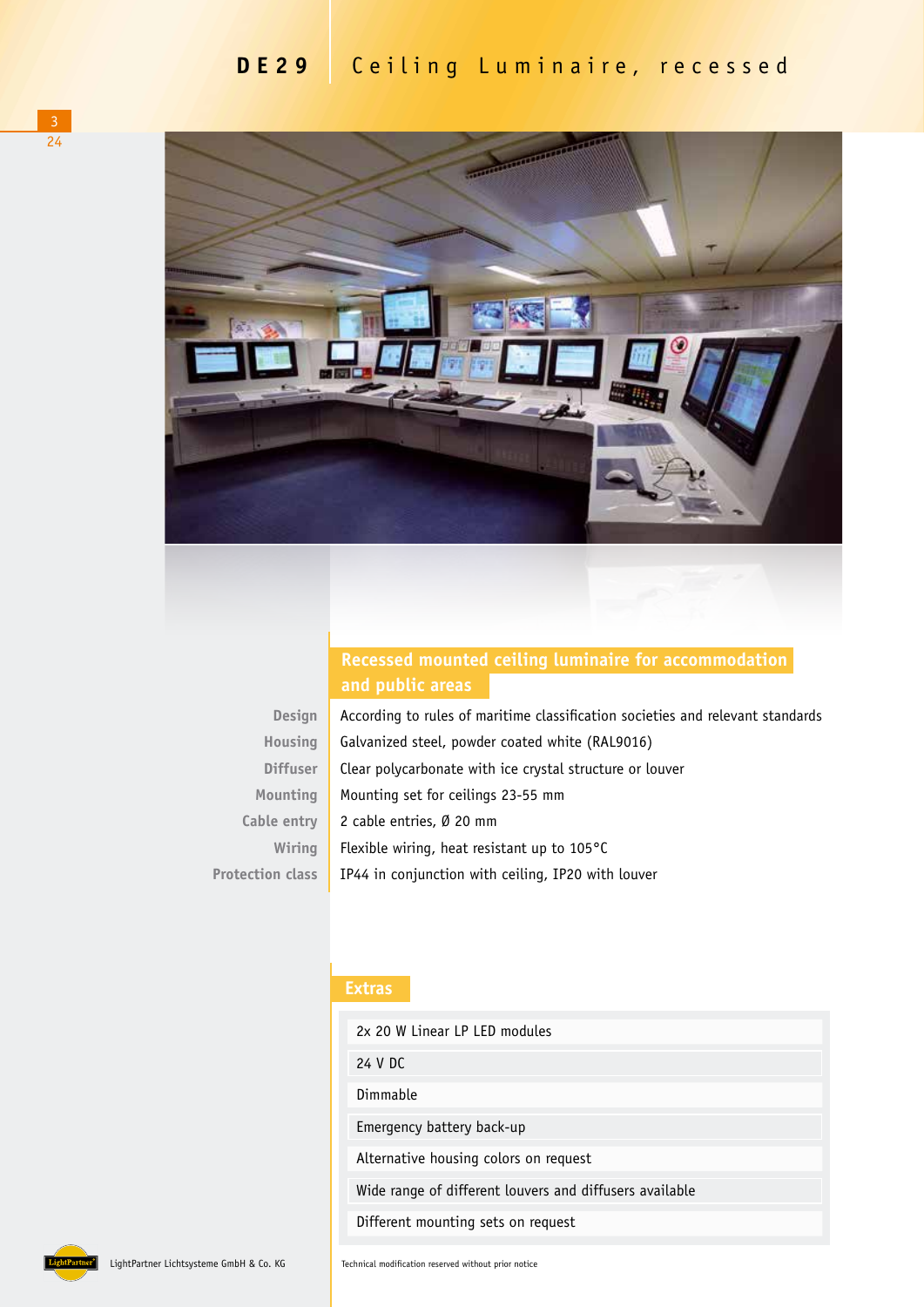

## **Recessed mounted ceiling luminaire for accommodation**

| <b>Design</b>           | According to rules of maritime classification societies and relevant standards |
|-------------------------|--------------------------------------------------------------------------------|
| Housing                 | Galvanized steel, powder coated white (RAL9016)                                |
| <b>Diffuser</b>         | Clear polycarbonate with ice crystal structure or louver                       |
| Mounting                | Mounting set for ceilings 23-55 mm                                             |
| Cable entry             | 2 cable entries, Ø 20 mm                                                       |
| Wiring                  | Flexible wiring, heat resistant up to 105°C                                    |
| <b>Protection class</b> | IP44 in conjunction with ceiling, IP20 with louver                             |

## **Extras**

| 2x 20 W Linear LP LED modules                           |
|---------------------------------------------------------|
| 24 V DC                                                 |
| Dimmable                                                |
| Emergency battery back-up                               |
| Alternative housing colors on request                   |
| Wide range of different louvers and diffusers available |
| Different mounting sets on request                      |